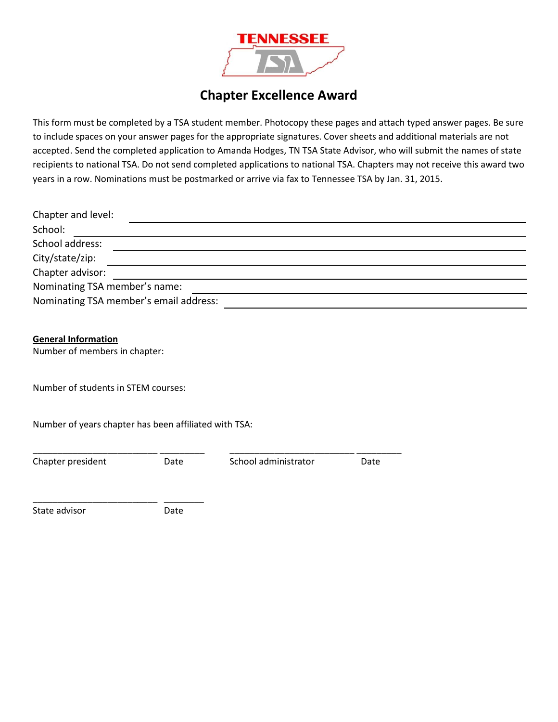

## **Chapter Excellence Award**

This form must be completed by a TSA student member. Photocopy these pages and attach typed answer pages. Be sure to include spaces on your answer pages for the appropriate signatures. Cover sheets and additional materials are not accepted. Send the completed application to Amanda Hodges, TN TSA State Advisor, who will submit the names of state recipients to national TSA. Do not send completed applications to national TSA. Chapters may not receive this award two years in a row. Nominations must be postmarked or arrive via fax to Tennessee TSA by Jan. 31, 2015.

| Chapter and level:                     |  |  |  |
|----------------------------------------|--|--|--|
| School:                                |  |  |  |
| School address:                        |  |  |  |
| City/state/zip:                        |  |  |  |
| Chapter advisor:                       |  |  |  |
| Nominating TSA member's name:          |  |  |  |
| Nominating TSA member's email address: |  |  |  |

**General Information**

Number of members in chapter:

Number of students in STEM courses:

Number of years chapter has been affiliated with TSA:

\_\_\_\_\_\_\_\_\_\_\_\_\_\_\_\_\_\_\_\_\_\_\_\_\_ \_\_\_\_\_\_\_\_\_ \_\_\_\_\_\_\_\_\_\_\_\_\_\_\_\_\_\_\_\_\_\_\_\_\_ \_\_\_\_\_\_\_\_\_

Chapter president **Date** Date School administrator **Date** 

\_\_\_\_\_\_\_\_\_\_\_\_\_\_\_\_\_\_\_\_\_\_\_\_\_ \_\_\_\_\_\_\_\_ State advisor **Date**